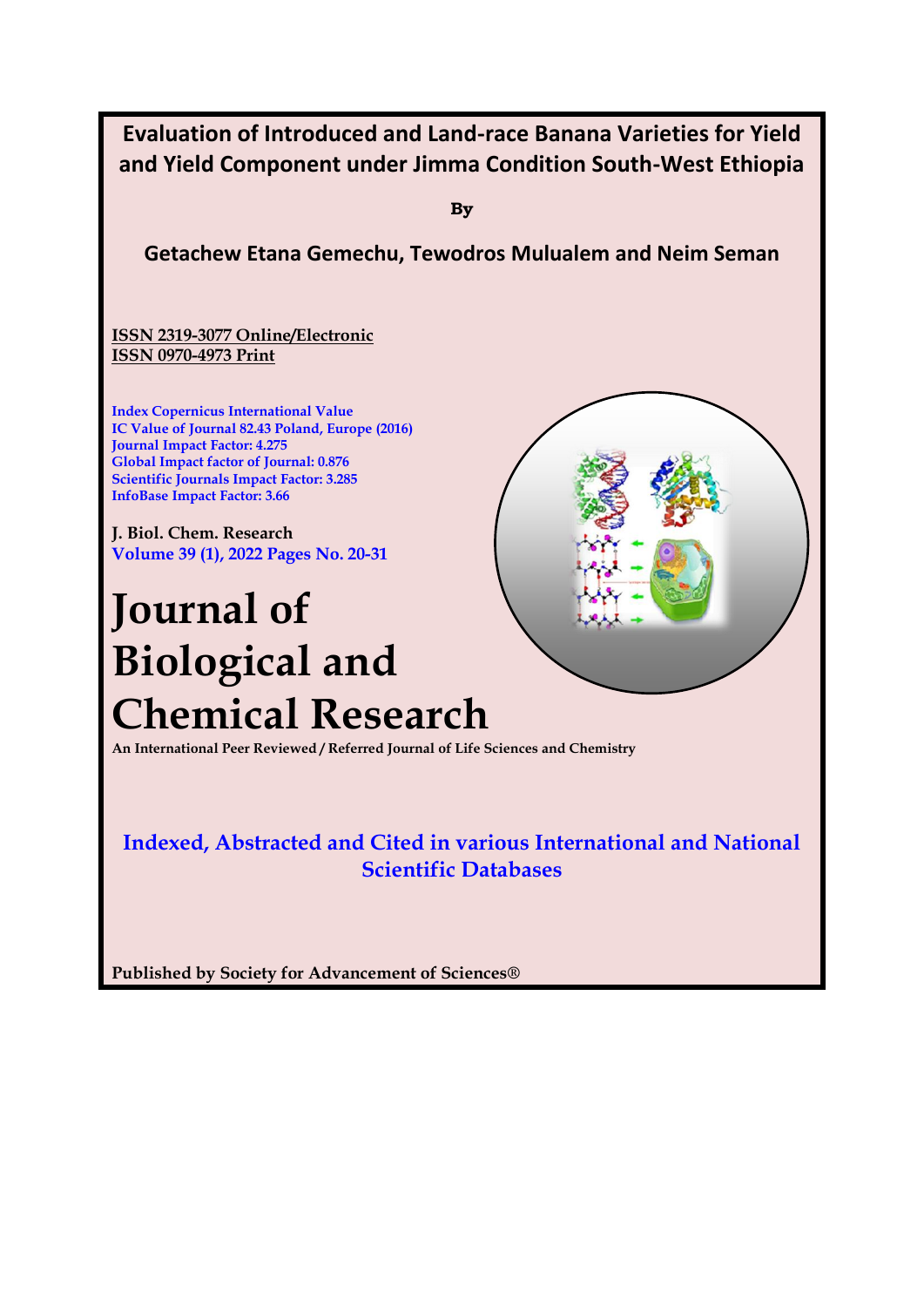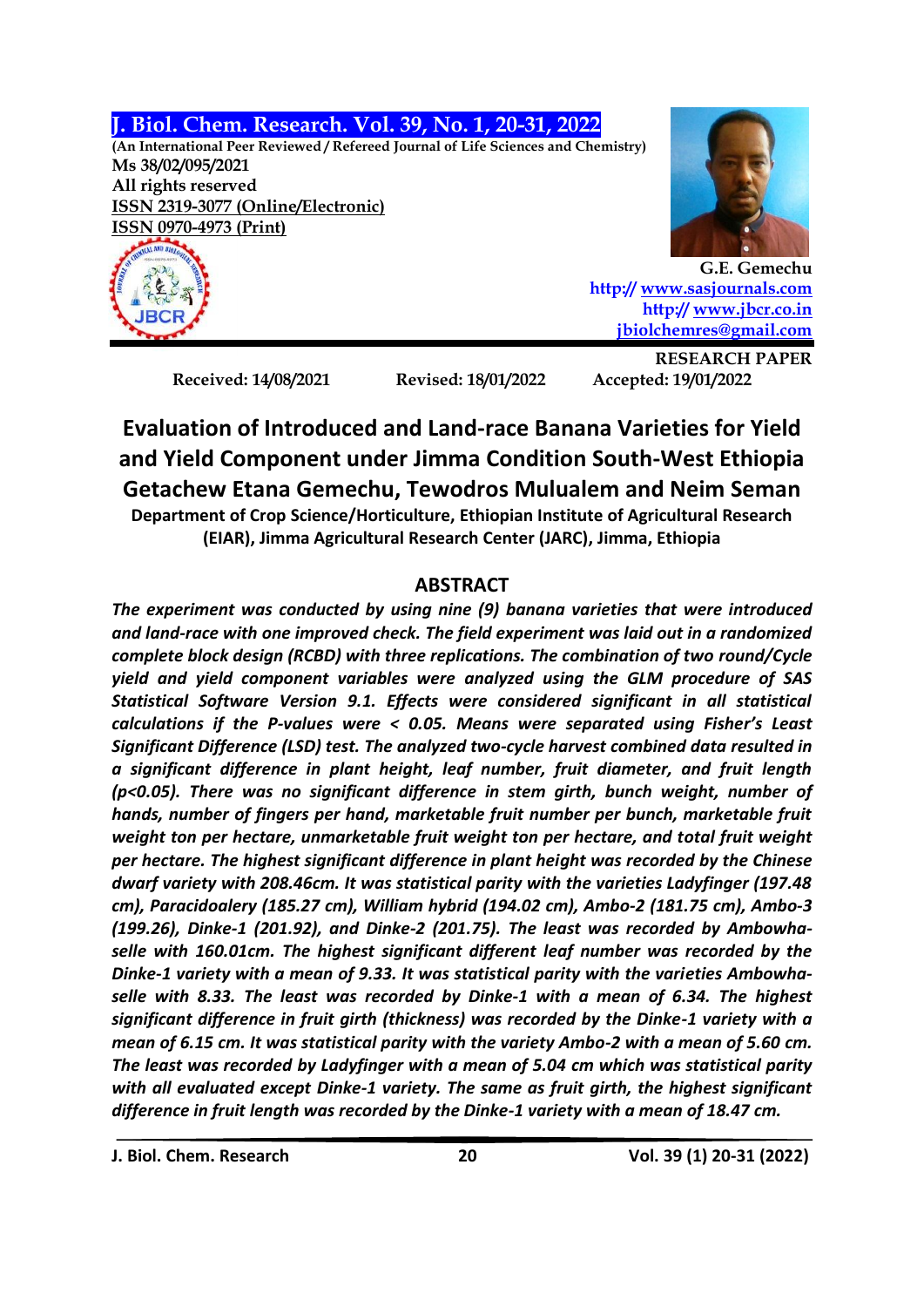**J. Biol. Chem. Research. Vol. 39, No. 1, 20-31, 2022**

**(An International Peer Reviewed / Refereed Journal of Life Sciences and Chemistry) Ms 38/02/095/2021 All rights reserved ISSN 2319-3077 (Online/Electronic) ISSN 0970-4973 (Print)**





**G.E. Gemechu http:// [www.sasjournals.com](http://www.sasjournals.com/) http:/[/ www.jbcr.co.in](http://www.jbcr.co.in/) [jbiolchemres@gmail.com](mailto:jbiolchemres@gmail.com)**

**Received: 14/08/2021 Revised: 18/01/2022 Accepted: 19/01/2022**

**RESEARCH PAPER**

**Evaluation of Introduced and Land-race Banana Varieties for Yield and Yield Component under Jimma Condition South-West Ethiopia Getachew Etana Gemechu, Tewodros Mulualem and Neim Seman Department of Crop Science/Horticulture, Ethiopian Institute of Agricultural Research (EIAR), Jimma Agricultural Research Center (JARC), Jimma, Ethiopia**

# **ABSTRACT**

*The experiment was conducted by using nine (9) banana varieties that were introduced and land-race with one improved check. The field experiment was laid out in a randomized complete block design (RCBD) with three replications. The combination of two round/Cycle yield and yield component variables were analyzed using the GLM procedure of SAS Statistical Software Version 9.1. Effects were considered significant in all statistical calculations if the P-values were < 0.05. Means were separated using Fisher's Least Significant Difference (LSD) test. The analyzed two-cycle harvest combined data resulted in a significant difference in plant height, leaf number, fruit diameter, and fruit length (p<0.05). There was no significant difference in stem girth, bunch weight, number of hands, number of fingers per hand, marketable fruit number per bunch, marketable fruit weight ton per hectare, unmarketable fruit weight ton per hectare, and total fruit weight per hectare. The highest significant difference in plant height was recorded by the Chinese dwarf variety with 208.46cm. It was statistical parity with the varieties Ladyfinger (197.48 cm), Paracidoalery (185.27 cm), William hybrid (194.02 cm), Ambo-2 (181.75 cm), Ambo-3 (199.26), Dinke-1 (201.92), and Dinke-2 (201.75). The least was recorded by Ambowhaselle with 160.01cm. The highest significant different leaf number was recorded by the Dinke-1 variety with a mean of 9.33. It was statistical parity with the varieties Ambowhaselle with 8.33. The least was recorded by Dinke-1 with a mean of 6.34. The highest significant difference in fruit girth (thickness) was recorded by the Dinke-1 variety with a mean of 6.15 cm. It was statistical parity with the variety Ambo-2 with a mean of 5.60 cm. The least was recorded by Ladyfinger with a mean of 5.04 cm which was statistical parity with all evaluated except Dinke-1 variety. The same as fruit girth, the highest significant difference in fruit length was recorded by the Dinke-1 variety with a mean of 18.47 cm.*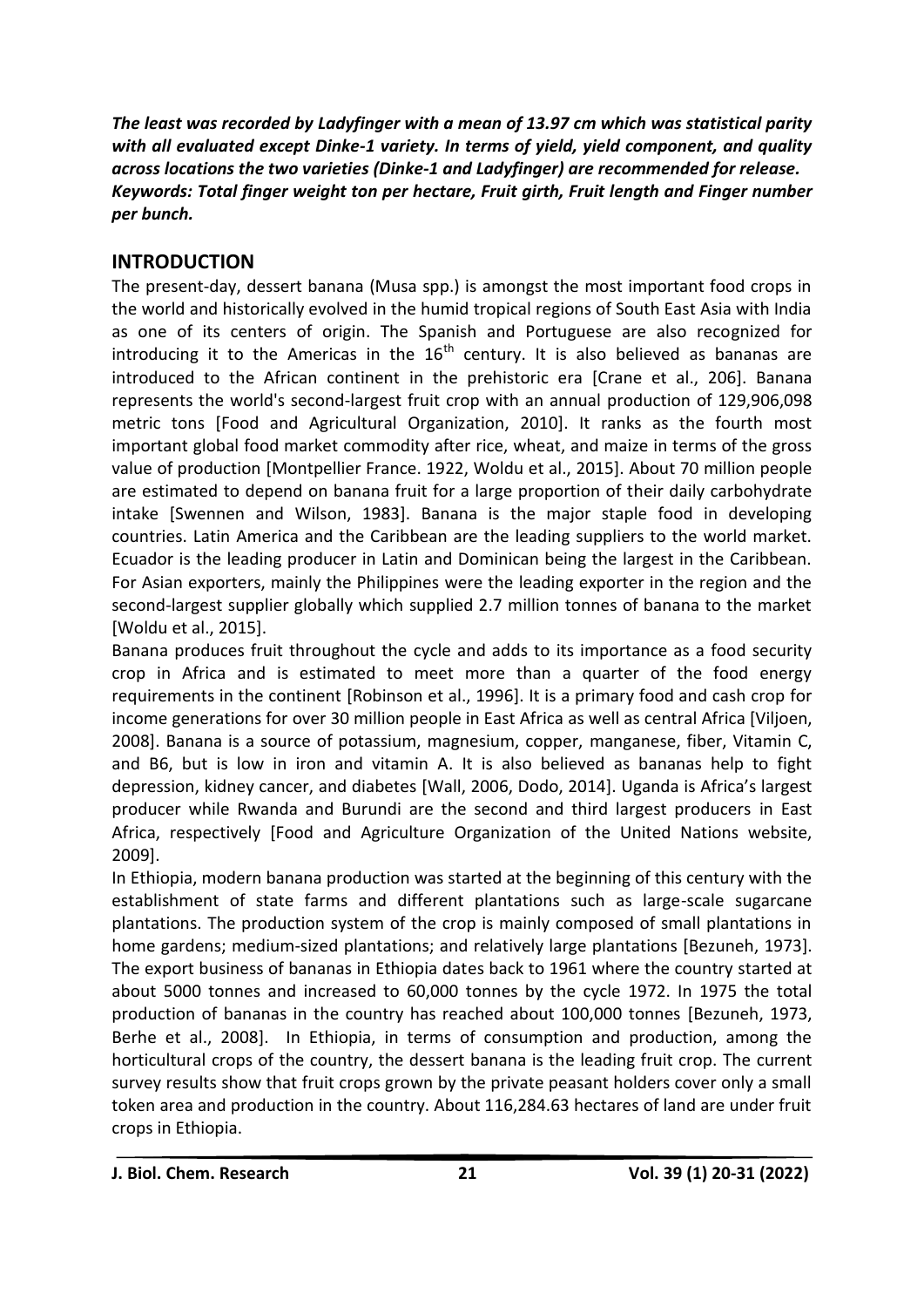*The least was recorded by Ladyfinger with a mean of 13.97 cm which was statistical parity with all evaluated except Dinke-1 variety. In terms of yield, yield component, and quality across locations the two varieties (Dinke-1 and Ladyfinger) are recommended for release. Keywords: Total finger weight ton per hectare, Fruit girth, Fruit length and Finger number per bunch.*

# **INTRODUCTION**

The present-day, dessert banana (Musa spp.) is amongst the most important food crops in the world and historically evolved in the humid tropical regions of South East Asia with India as one of its centers of origin. The Spanish and Portuguese are also recognized for introducing it to the Americas in the  $16<sup>th</sup>$  century. It is also believed as bananas are introduced to the African continent in the prehistoric era [Crane et al., 206]. Banana represents the world's second-largest fruit crop with an annual production of 129,906,098 metric tons [Food and Agricultural Organization, 2010]. It ranks as the fourth most important global food market commodity after rice, wheat, and maize in terms of the gross value of production [Montpellier France. 1922, Woldu et al., 2015]. About 70 million people are estimated to depend on banana fruit for a large proportion of their daily carbohydrate intake [Swennen and Wilson, 1983]. Banana is the major staple food in developing countries. Latin America and the Caribbean are the leading suppliers to the world market. Ecuador is the leading producer in Latin and Dominican being the largest in the Caribbean. For Asian exporters, mainly the Philippines were the leading exporter in the region and the second-largest supplier globally which supplied 2.7 million tonnes of banana to the market [Woldu et al., 2015].

Banana produces fruit throughout the cycle and adds to its importance as a food security crop in Africa and is estimated to meet more than a quarter of the food energy requirements in the continent [Robinson et al., 1996]. It is a primary food and cash crop for income generations for over 30 million people in East Africa as well as central Africa [Viljoen, 2008]. Banana is a source of potassium, magnesium, copper, manganese, fiber, Vitamin C, and B6, but is low in iron and vitamin A. It is also believed as bananas help to fight depression, kidney cancer, and diabetes [Wall, 2006, Dodo, 2014]. Uganda is Africa's largest producer while Rwanda and Burundi are the second and third largest producers in East Africa, respectively [Food and Agriculture Organization of the United Nations website, 2009].

In Ethiopia, modern banana production was started at the beginning of this century with the establishment of state farms and different plantations such as large-scale sugarcane plantations. The production system of the crop is mainly composed of small plantations in home gardens; medium-sized plantations; and relatively large plantations [Bezuneh, 1973]. The export business of bananas in Ethiopia dates back to 1961 where the country started at about 5000 tonnes and increased to 60,000 tonnes by the cycle 1972. In 1975 the total production of bananas in the country has reached about 100,000 tonnes [Bezuneh, 1973, Berhe et al., 2008]. In Ethiopia, in terms of consumption and production, among the horticultural crops of the country, the dessert banana is the leading fruit crop. The current survey results show that fruit crops grown by the private peasant holders cover only a small token area and production in the country. About 116,284.63 hectares of land are under fruit crops in Ethiopia.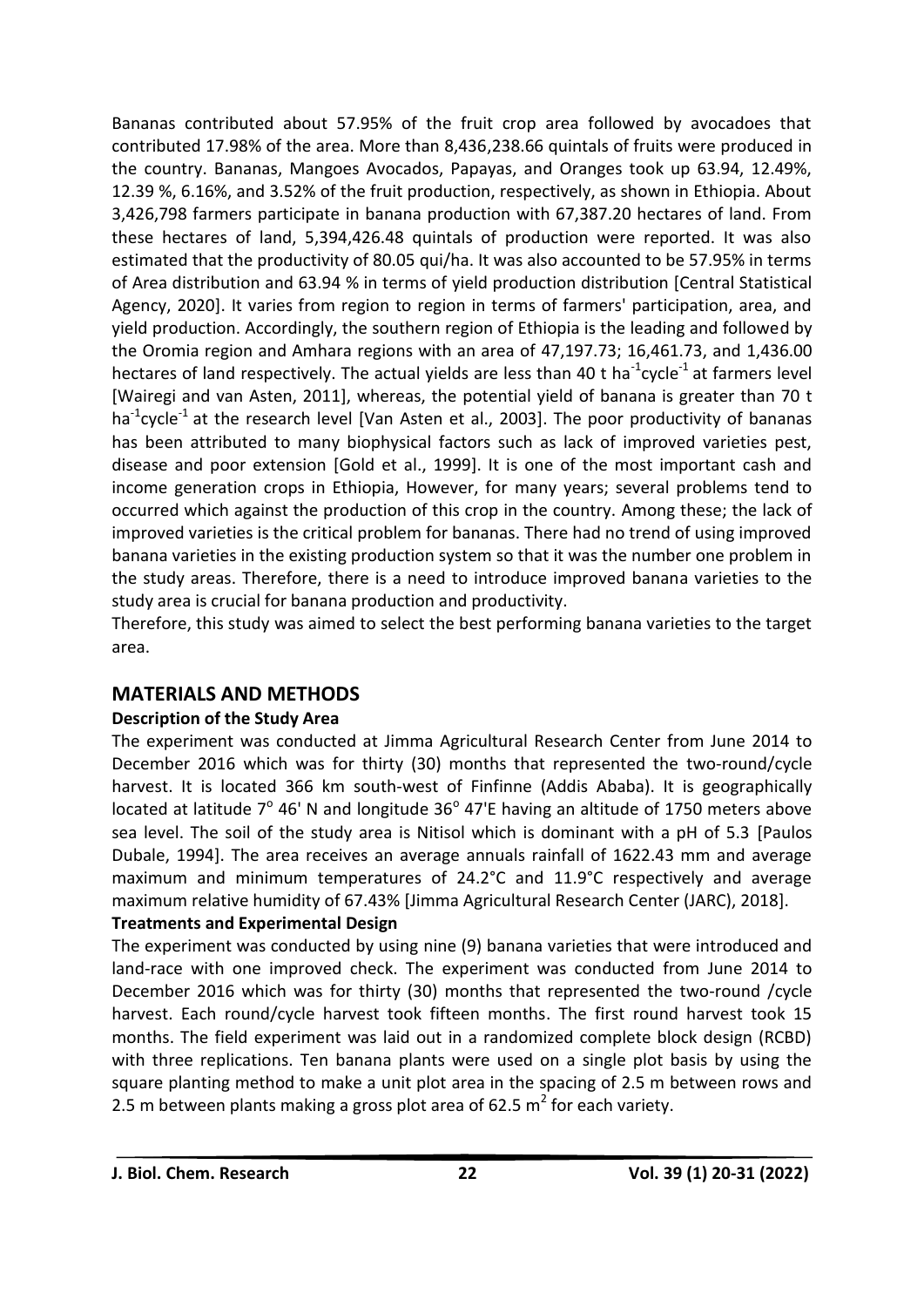Bananas contributed about 57.95% of the fruit crop area followed by avocadoes that contributed 17.98% of the area. More than 8,436,238.66 quintals of fruits were produced in the country. Bananas, Mangoes Avocados, Papayas, and Oranges took up 63.94, 12.49%, 12.39 %, 6.16%, and 3.52% of the fruit production, respectively, as shown in Ethiopia. About 3,426,798 farmers participate in banana production with 67,387.20 hectares of land. From these hectares of land, 5,394,426.48 quintals of production were reported. It was also estimated that the productivity of 80.05 qui/ha. It was also accounted to be 57.95% in terms of Area distribution and 63.94 % in terms of yield production distribution [Central Statistical Agency, 2020]. It varies from region to region in terms of farmers' participation, area, and yield production. Accordingly, the southern region of Ethiopia is the leading and followed by the Oromia region and Amhara regions with an area of 47,197.73; 16,461.73, and 1,436.00 hectares of land respectively. The actual yields are less than 40 t ha<sup>-1</sup>cycle<sup>-1</sup> at farmers level [Wairegi and van Asten, 2011], whereas, the potential yield of banana is greater than 70 t ha<sup>-1</sup>cycle<sup>-1</sup> at the research level [Van Asten et al., 2003]. The poor productivity of bananas has been attributed to many biophysical factors such as lack of improved varieties pest, disease and poor extension [Gold et al., 1999]. It is one of the most important cash and income generation crops in Ethiopia, However, for many years; several problems tend to occurred which against the production of this crop in the country. Among these; the lack of improved varieties is the critical problem for bananas. There had no trend of using improved banana varieties in the existing production system so that it was the number one problem in the study areas. Therefore, there is a need to introduce improved banana varieties to the study area is crucial for banana production and productivity.

Therefore, this study was aimed to select the best performing banana varieties to the target area.

# **MATERIALS AND METHODS**

### **Description of the Study Area**

The experiment was conducted at Jimma Agricultural Research Center from June 2014 to December 2016 which was for thirty (30) months that represented the two-round/cycle harvest. It is located 366 km south-west of Finfinne (Addis Ababa). It is geographically located at latitude  $7^{\circ}$  46' N and longitude  $36^{\circ}$  47'E having an altitude of 1750 meters above sea level. The soil of the study area is Nitisol which is dominant with a pH of 5.3 [Paulos Dubale, 1994]. The area receives an average annuals rainfall of 1622.43 mm and average maximum and minimum temperatures of 24.2°C and 11.9°C respectively and average maximum relative humidity of 67.43% [Jimma Agricultural Research Center (JARC), 2018].

# **Treatments and Experimental Design**

The experiment was conducted by using nine (9) banana varieties that were introduced and land-race with one improved check. The experiment was conducted from June 2014 to December 2016 which was for thirty (30) months that represented the two-round /cycle harvest. Each round/cycle harvest took fifteen months. The first round harvest took 15 months. The field experiment was laid out in a randomized complete block design (RCBD) with three replications. Ten banana plants were used on a single plot basis by using the square planting method to make a unit plot area in the spacing of 2.5 m between rows and 2.5 m between plants making a gross plot area of 62.5  $m^2$  for each variety.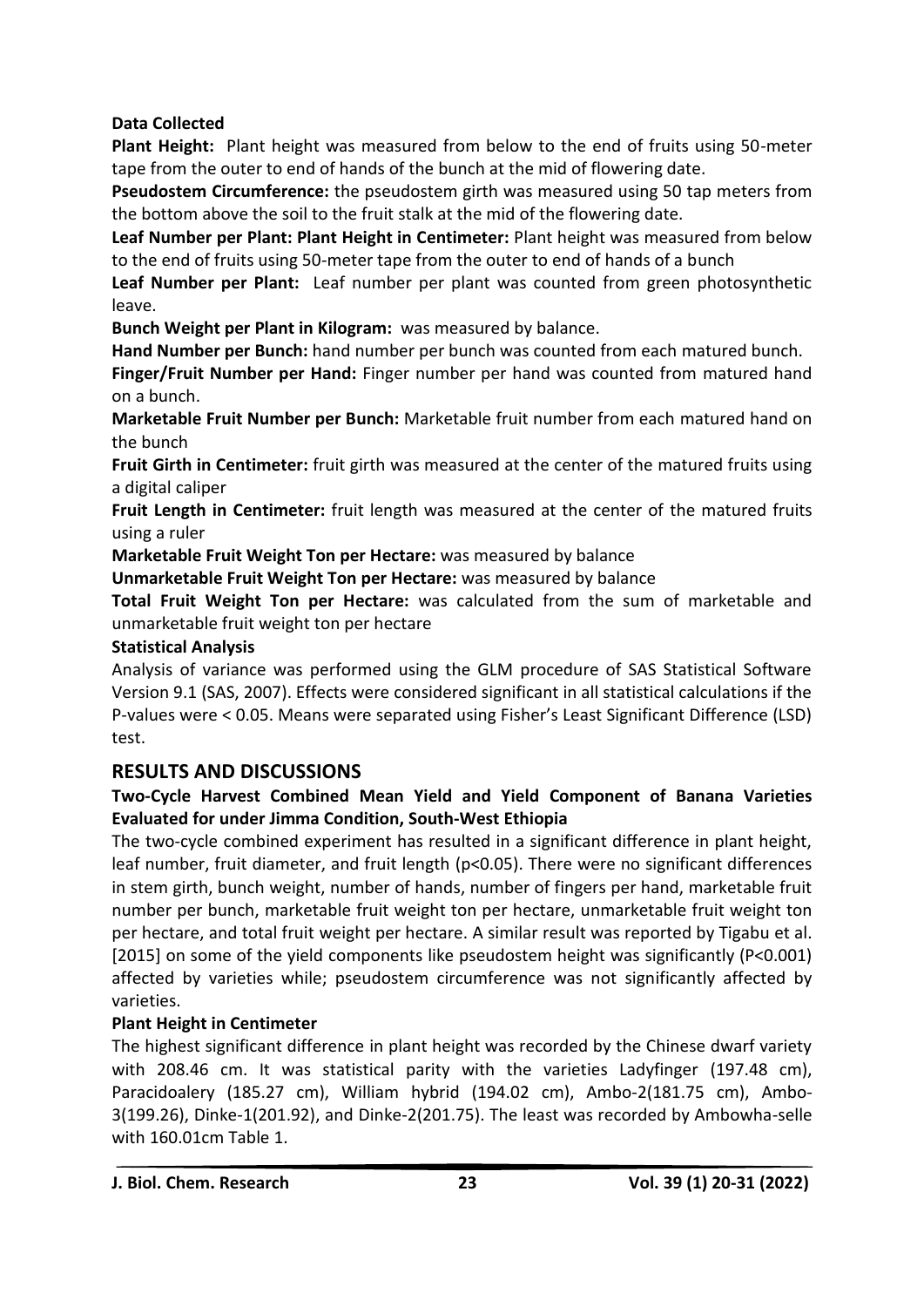# **Data Collected**

**Plant Height:** Plant height was measured from below to the end of fruits using 50-meter tape from the outer to end of hands of the bunch at the mid of flowering date.

**Pseudostem Circumference:** the pseudostem girth was measured using 50 tap meters from the bottom above the soil to the fruit stalk at the mid of the flowering date.

**Leaf Number per Plant: Plant Height in Centimeter:** Plant height was measured from below to the end of fruits using 50-meter tape from the outer to end of hands of a bunch

**Leaf Number per Plant:** Leaf number per plant was counted from green photosynthetic leave.

**Bunch Weight per Plant in Kilogram:** was measured by balance.

**Hand Number per Bunch:** hand number per bunch was counted from each matured bunch.

**Finger/Fruit Number per Hand:** Finger number per hand was counted from matured hand on a bunch.

**Marketable Fruit Number per Bunch:** Marketable fruit number from each matured hand on the bunch

**Fruit Girth in Centimeter:** fruit girth was measured at the center of the matured fruits using a digital caliper

**Fruit Length in Centimeter:** fruit length was measured at the center of the matured fruits using a ruler

**Marketable Fruit Weight Ton per Hectare:** was measured by balance

**Unmarketable Fruit Weight Ton per Hectare:** was measured by balance

**Total Fruit Weight Ton per Hectare:** was calculated from the sum of marketable and unmarketable fruit weight ton per hectare

### **Statistical Analysis**

Analysis of variance was performed using the GLM procedure of SAS Statistical Software Version 9.1 (SAS, 2007). Effects were considered significant in all statistical calculations if the P-values were < 0.05. Means were separated using Fisher's Least Significant Difference (LSD) test.

# **RESULTS AND DISCUSSIONS**

# **Two-Cycle Harvest Combined Mean Yield and Yield Component of Banana Varieties Evaluated for under Jimma Condition, South-West Ethiopia**

The two-cycle combined experiment has resulted in a significant difference in plant height, leaf number, fruit diameter, and fruit length (p<0.05). There were no significant differences in stem girth, bunch weight, number of hands, number of fingers per hand, marketable fruit number per bunch, marketable fruit weight ton per hectare, unmarketable fruit weight ton per hectare, and total fruit weight per hectare. A similar result was reported by Tigabu et al. [2015] on some of the yield components like pseudostem height was significantly (P<0.001) affected by varieties while; pseudostem circumference was not significantly affected by varieties.

# **Plant Height in Centimeter**

The highest significant difference in plant height was recorded by the Chinese dwarf variety with 208.46 cm. It was statistical parity with the varieties Ladyfinger (197.48 cm), Paracidoalery (185.27 cm), William hybrid (194.02 cm), Ambo-2(181.75 cm), Ambo-3(199.26), Dinke-1(201.92), and Dinke-2(201.75). The least was recorded by Ambowha-selle with 160.01cm Table 1.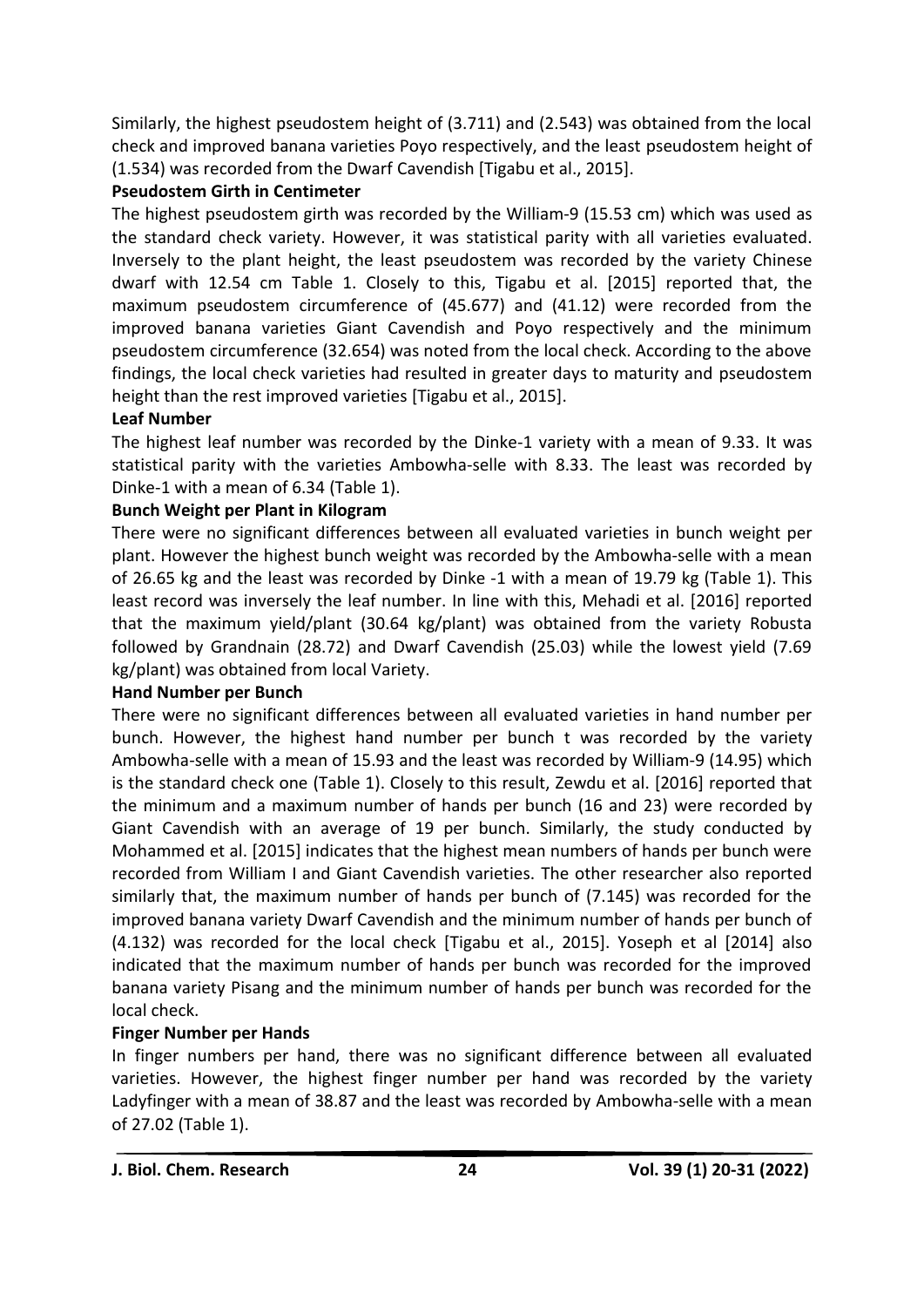Similarly, the highest pseudostem height of (3.711) and (2.543) was obtained from the local check and improved banana varieties Poyo respectively, and the least pseudostem height of (1.534) was recorded from the Dwarf Cavendish [Tigabu et al., 2015].

## **Pseudostem Girth in Centimeter**

The highest pseudostem girth was recorded by the William-9 (15.53 cm) which was used as the standard check variety. However, it was statistical parity with all varieties evaluated. Inversely to the plant height, the least pseudostem was recorded by the variety Chinese dwarf with 12.54 cm Table 1. Closely to this, Tigabu et al. [2015] reported that, the maximum pseudostem circumference of (45.677) and (41.12) were recorded from the improved banana varieties Giant Cavendish and Poyo respectively and the minimum pseudostem circumference (32.654) was noted from the local check. According to the above findings, the local check varieties had resulted in greater days to maturity and pseudostem height than the rest improved varieties [Tigabu et al., 2015].

# **Leaf Number**

The highest leaf number was recorded by the Dinke-1 variety with a mean of 9.33. It was statistical parity with the varieties Ambowha-selle with 8.33. The least was recorded by Dinke-1 with a mean of 6.34 (Table 1).

# **Bunch Weight per Plant in Kilogram**

There were no significant differences between all evaluated varieties in bunch weight per plant. However the highest bunch weight was recorded by the Ambowha-selle with a mean of 26.65 kg and the least was recorded by Dinke -1 with a mean of 19.79 kg (Table 1). This least record was inversely the leaf number. In line with this, Mehadi et al. [2016] reported that the maximum yield/plant (30.64 kg/plant) was obtained from the variety Robusta followed by Grandnain (28.72) and Dwarf Cavendish (25.03) while the lowest yield (7.69 kg/plant) was obtained from local Variety.

### **Hand Number per Bunch**

There were no significant differences between all evaluated varieties in hand number per bunch. However, the highest hand number per bunch t was recorded by the variety Ambowha-selle with a mean of 15.93 and the least was recorded by William-9 (14.95) which is the standard check one (Table 1). Closely to this result, Zewdu et al. [2016] reported that the minimum and a maximum number of hands per bunch (16 and 23) were recorded by Giant Cavendish with an average of 19 per bunch. Similarly, the study conducted by Mohammed et al. [2015] indicates that the highest mean numbers of hands per bunch were recorded from William I and Giant Cavendish varieties. The other researcher also reported similarly that, the maximum number of hands per bunch of (7.145) was recorded for the improved banana variety Dwarf Cavendish and the minimum number of hands per bunch of (4.132) was recorded for the local check [Tigabu et al., 2015]. Yoseph et al [2014] also indicated that the maximum number of hands per bunch was recorded for the improved banana variety Pisang and the minimum number of hands per bunch was recorded for the local check.

# **Finger Number per Hands**

In finger numbers per hand, there was no significant difference between all evaluated varieties. However, the highest finger number per hand was recorded by the variety Ladyfinger with a mean of 38.87 and the least was recorded by Ambowha-selle with a mean of 27.02 (Table 1).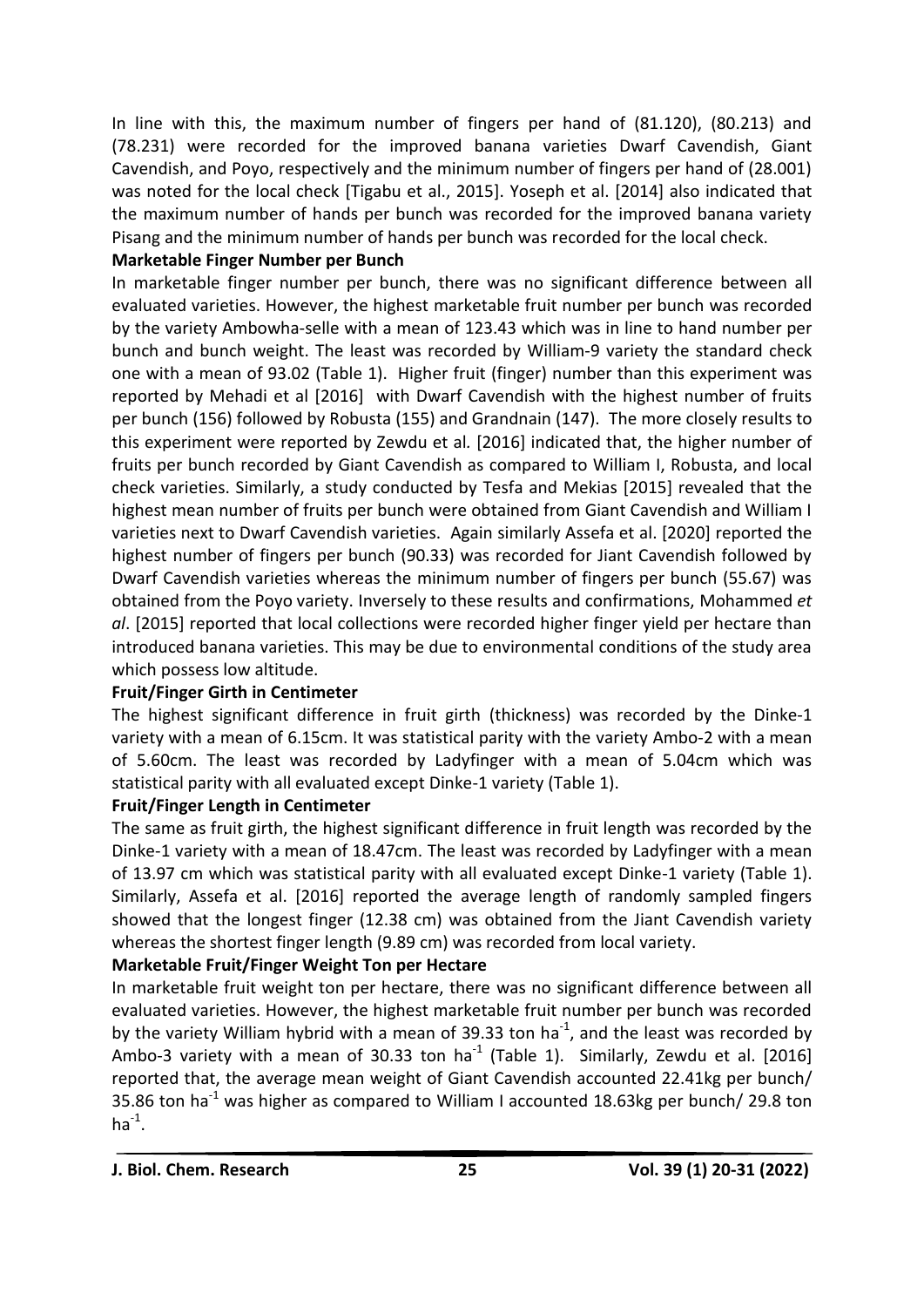In line with this, the maximum number of fingers per hand of (81.120), (80.213) and (78.231) were recorded for the improved banana varieties Dwarf Cavendish, Giant Cavendish, and Poyo, respectively and the minimum number of fingers per hand of (28.001) was noted for the local check [Tigabu et al., 2015]. Yoseph et al. [2014] also indicated that the maximum number of hands per bunch was recorded for the improved banana variety Pisang and the minimum number of hands per bunch was recorded for the local check.

### **Marketable Finger Number per Bunch**

In marketable finger number per bunch, there was no significant difference between all evaluated varieties. However, the highest marketable fruit number per bunch was recorded by the variety Ambowha-selle with a mean of 123.43 which was in line to hand number per bunch and bunch weight. The least was recorded by William-9 variety the standard check one with a mean of 93.02 (Table 1). Higher fruit (finger) number than this experiment was reported by Mehadi et al [2016] with Dwarf Cavendish with the highest number of fruits per bunch (156) followed by Robusta (155) and Grandnain (147). The more closely results to this experiment were reported by Zewdu et al*.* [2016] indicated that, the higher number of fruits per bunch recorded by Giant Cavendish as compared to William I, Robusta, and local check varieties. Similarly, a study conducted by Tesfa and Mekias [2015] revealed that the highest mean number of fruits per bunch were obtained from Giant Cavendish and William I varieties next to Dwarf Cavendish varieties. Again similarly Assefa et al. [2020] reported the highest number of fingers per bunch (90.33) was recorded for Jiant Cavendish followed by Dwarf Cavendish varieties whereas the minimum number of fingers per bunch (55.67) was obtained from the Poyo variety. Inversely to these results and confirmations, Mohammed *et al*. [2015] reported that local collections were recorded higher finger yield per hectare than introduced banana varieties. This may be due to environmental conditions of the study area which possess low altitude.

### **Fruit/Finger Girth in Centimeter**

The highest significant difference in fruit girth (thickness) was recorded by the Dinke-1 variety with a mean of 6.15cm. It was statistical parity with the variety Ambo-2 with a mean of 5.60cm. The least was recorded by Ladyfinger with a mean of 5.04cm which was statistical parity with all evaluated except Dinke-1 variety (Table 1).

### **Fruit/Finger Length in Centimeter**

The same as fruit girth, the highest significant difference in fruit length was recorded by the Dinke-1 variety with a mean of 18.47cm. The least was recorded by Ladyfinger with a mean of 13.97 cm which was statistical parity with all evaluated except Dinke-1 variety (Table 1). Similarly, Assefa et al. [2016] reported the average length of randomly sampled fingers showed that the longest finger (12.38 cm) was obtained from the Jiant Cavendish variety whereas the shortest finger length (9.89 cm) was recorded from local variety.

# **Marketable Fruit/Finger Weight Ton per Hectare**

In marketable fruit weight ton per hectare, there was no significant difference between all evaluated varieties. However, the highest marketable fruit number per bunch was recorded by the variety William hybrid with a mean of 39.33 ton ha<sup>-1</sup>, and the least was recorded by Ambo-3 variety with a mean of 30.33 ton ha<sup>-1</sup> (Table 1). Similarly, Zewdu et al. [2016] reported that, the average mean weight of Giant Cavendish accounted 22.41kg per bunch/ 35.86 ton ha<sup>-1</sup> was higher as compared to William I accounted 18.63kg per bunch/ 29.8 ton  $ha^{-1}$ .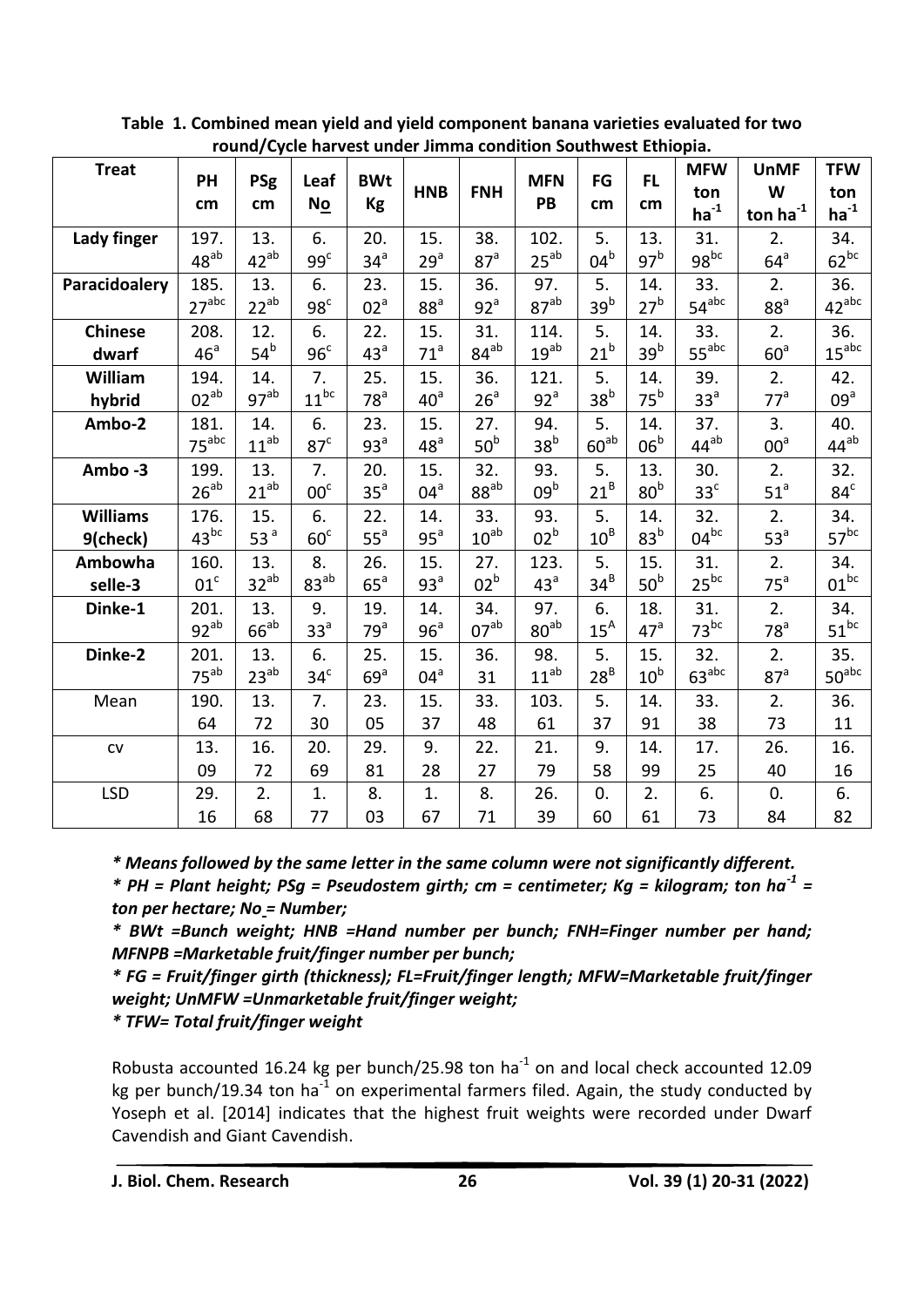|                 |                   |                  |                 |                 |                 |                 | Todila/Cycle Harvest under Jimmia condition Southwest Ethiopia. |                 |                 |                   |                  |                   |
|-----------------|-------------------|------------------|-----------------|-----------------|-----------------|-----------------|-----------------------------------------------------------------|-----------------|-----------------|-------------------|------------------|-------------------|
| <b>Treat</b>    | PH                | <b>PSg</b>       | Leaf            | <b>BWt</b>      | <b>HNB</b>      | <b>FNH</b>      | <b>MFN</b>                                                      | FG              | <b>FL</b>       | <b>MFW</b><br>ton | <b>UnMF</b><br>W | <b>TFW</b><br>ton |
|                 | cm                | cm               | No              | <b>Kg</b>       |                 |                 | PB                                                              | cm              | cm              | $ha^{-1}$         | ton $ha^{-1}$    | $ha-1$            |
| Lady finger     | 197.              | 13.              | 6.              | 20.             | 15.             | 38.             | 102.                                                            | 5.              | 13.             | 31.               | 2.               | 34.               |
|                 | $48^{ab}$         | $42^{ab}$        | 99 <sup>c</sup> | 34 <sup>a</sup> | $29^a$          | 87 <sup>a</sup> | $25^{ab}$                                                       | $04^b$          | 97 <sup>b</sup> | $98^{bc}$         | $64^{\circ}$     | $62^{bc}$         |
| Paracidoalery   | 185.              | 13.              | 6.              | 23.             | 15.             | 36.             | 97.                                                             | 5.              | 14.             | 33.               | 2.               | 36.               |
|                 | $27^{abc}$        | $22^{ab}$        | 98 <sup>c</sup> | 02 <sup>a</sup> | 88 <sup>a</sup> | 92 <sup>a</sup> | $87^{ab}$                                                       | 39 <sup>b</sup> | 27 <sup>b</sup> | $54^{abc}$        | 88 <sup>a</sup>  | $42^{abc}$        |
| <b>Chinese</b>  | 208.              | 12.              | 6.              | 22.             | 15.             | 31.             | 114.                                                            | 5.              | 14.             | 33.               | 2.               | 36.               |
| dwarf           | 46 <sup>a</sup>   | $54^b$           | 96 <sup>c</sup> | 43 <sup>a</sup> | $71^a$          | $84^{ab}$       | $19^{ab}$                                                       | 21 <sup>b</sup> | 39 <sup>b</sup> | $55^{abc}$        | $60^{\circ}$     | $15^{\text{abc}}$ |
| William         | 194.              | 14.              | 7.              | 25.             | 15.             | 36.             | 121.                                                            | 5.              | 14.             | 39.               | 2.               | 42.               |
| hybrid          | $02^{ab}$         | 97 <sup>ab</sup> | $11^{bc}$       | 78 <sup>a</sup> | 40 <sup>a</sup> | 26 <sup>a</sup> | 92 <sup>a</sup>                                                 | 38 <sup>b</sup> | $75^b$          | 33 <sup>a</sup>   | 77 <sup>a</sup>  | 09 <sup>a</sup>   |
| Ambo-2          | 181.              | 14.              | 6.              | 23.             | 15.             | 27.             | 94.                                                             | 5.              | 14.             | 37.               | 3.               | 40.               |
|                 | 75 <sup>abc</sup> | $11^{ab}$        | 87 <sup>c</sup> | 93 <sup>a</sup> | 48 <sup>a</sup> | 50 <sup>b</sup> | 38 <sup>b</sup>                                                 | $60^{ab}$       | 06 <sup>b</sup> | $44^{ab}$         | 00 <sup>a</sup>  | $44^{ab}$         |
| Ambo-3          | 199.              | 13.              | 7.              | 20.             | 15.             | 32.             | 93.                                                             | 5.              | 13.             | 30.               | 2.               | 32.               |
|                 | $26^{ab}$         | $21^{ab}$        | 00 <sup>c</sup> | 35 <sup>a</sup> | $04^a$          | $88^{ab}$       | 09 <sup>b</sup>                                                 | $21^B$          | 80 <sup>b</sup> | 33 <sup>c</sup>   | 51 <sup>a</sup>  | 84 <sup>c</sup>   |
| <b>Williams</b> | 176.              | 15.              | 6.              | 22.             | 14.             | 33.             | 93.                                                             | 5.              | 14.             | 32.               | 2.               | 34.               |
| 9(check)        | $43^{bc}$         | 53 <sup>a</sup>  | 60 <sup>c</sup> | 55 <sup>a</sup> | $95^a$          | $10^{ab}$       | 02 <sup>b</sup>                                                 | $10^B$          | 83 <sup>b</sup> | $04^{bc}$         | 53 <sup>a</sup>  | $57^{bc}$         |
| Ambowha         | 160.              | 13.              | 8.              | 26.             | 15.             | 27.             | 123.                                                            | 5.              | 15.             | 31.               | 2.               | 34.               |
| selle-3         | 01 <sup>c</sup>   | $32^{ab}$        | $83^{ab}$       | $65^a$          | 93 <sup>a</sup> | 02 <sup>b</sup> | 43 <sup>a</sup>                                                 | $34^B$          | 50 <sup>b</sup> | $25^{bc}$         | 75 <sup>a</sup>  | $01^{bc}$         |
| Dinke-1         | 201.              | 13.              | 9.              | 19.             | 14.             | 34.             | 97.                                                             | 6.              | 18.             | 31.               | 2.               | 34.               |
|                 | $92^{ab}$         | $66^{ab}$        | 33 <sup>a</sup> | 79 <sup>a</sup> | 96 <sup>a</sup> | $07^{ab}$       | $80^{ab}$                                                       | $15^A$          | 47 <sup>a</sup> | $73^{bc}$         | 78 <sup>a</sup>  | $51^{bc}$         |
| Dinke-2         | 201.              | 13.              | 6.              | 25.             | 15.             | 36.             | 98.                                                             | 5.              | 15.             | 32.               | 2.               | 35.               |
|                 | $75^{ab}$         | $23^{ab}$        | 34 <sup>c</sup> | 69a             | $04^a$          | 31              | $11^{ab}$                                                       | $28^B$          | $10^{\rm b}$    | $63^{abc}$        | 87 <sup>a</sup>  | $50^{\rm abc}$    |
| Mean            | 190.              | 13.              | 7.              | 23.             | 15.             | 33.             | 103.                                                            | 5.              | 14.             | 33.               | 2.               | 36.               |
|                 | 64                | 72               | 30              | 05              | 37              | 48              | 61                                                              | 37              | 91              | 38                | 73               | 11                |
| ${\sf CV}$      | 13.               | 16.              | 20.             | 29.             | 9.              | 22.             | 21.                                                             | 9.              | 14.             | 17.               | 26.              | 16.               |
|                 | 09                | 72               | 69              | 81              | 28              | 27              | 79                                                              | 58              | 99              | 25                | 40               | 16                |
| <b>LSD</b>      | 29.               | 2.               | 1.              | 8.              | 1.              | 8.              | 26.                                                             | 0.              | 2.              | 6.                | 0.               | 6.                |
|                 | 16                | 68               | 77              | 03              | 67              | 71              | 39                                                              | 60              | 61              | 73                | 84               | 82                |

**Table 1. Combined mean yield and yield component banana varieties evaluated for two round/Cycle harvest under Jimma condition Southwest Ethiopia.**

*\* Means followed by the same letter in the same column were not significantly different.*

*\* PH = Plant height; PSg = Pseudostem girth; cm = centimeter; Kg = kilogram; ton ha-1 = ton per hectare; No = Number;* 

*\* BWt =Bunch weight; HNB =Hand number per bunch; FNH=Finger number per hand; MFNPB =Marketable fruit/finger number per bunch;*

*\* FG = Fruit/finger girth (thickness); FL=Fruit/finger length; MFW=Marketable fruit/finger weight; UnMFW =Unmarketable fruit/finger weight;*

*\* TFW= Total fruit/finger weight*

Robusta accounted 16.24 kg per bunch/25.98 ton ha $^{-1}$  on and local check accounted 12.09 kg per bunch/19.34 ton ha<sup>-1</sup> on experimental farmers filed. Again, the study conducted by Yoseph et al. [2014] indicates that the highest fruit weights were recorded under Dwarf Cavendish and Giant Cavendish.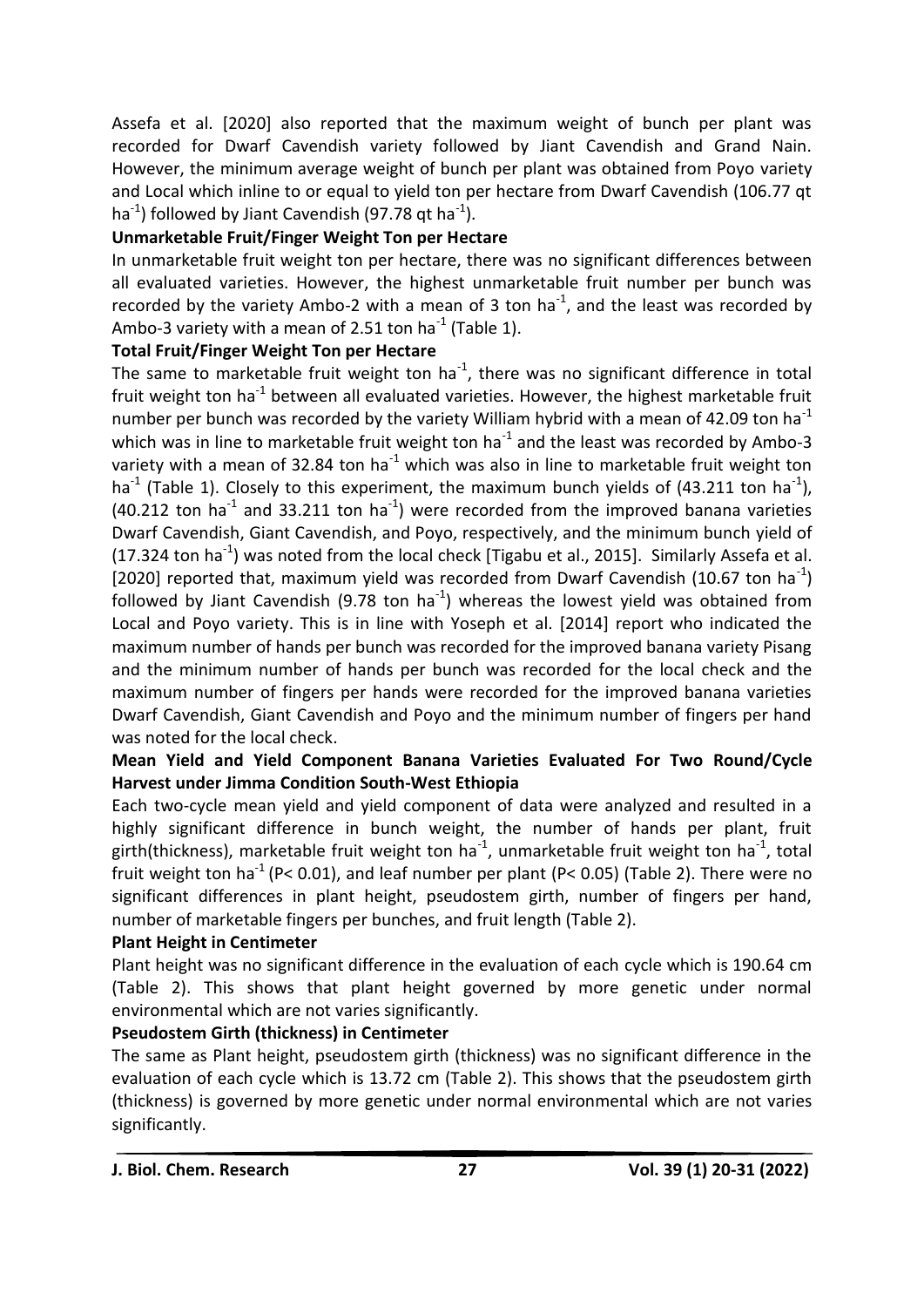Assefa et al. [2020] also reported that the maximum weight of bunch per plant was recorded for Dwarf Cavendish variety followed by Jiant Cavendish and Grand Nain. However, the minimum average weight of bunch per plant was obtained from Poyo variety and Local which inline to or equal to yield ton per hectare from Dwarf Cavendish (106.77 qt ha<sup>-1</sup>) followed by Jiant Cavendish (97.78 qt ha<sup>-1</sup>).

## **Unmarketable Fruit/Finger Weight Ton per Hectare**

In unmarketable fruit weight ton per hectare, there was no significant differences between all evaluated varieties. However, the highest unmarketable fruit number per bunch was recorded by the variety Ambo-2 with a mean of 3 ton ha<sup>-1</sup>, and the least was recorded by Ambo-3 variety with a mean of 2.51 ton ha<sup>-1</sup> (Table 1).

### **Total Fruit/Finger Weight Ton per Hectare**

The same to marketable fruit weight ton ha<sup>-1</sup>, there was no significant difference in total fruit weight ton ha<sup>-1</sup> between all evaluated varieties. However, the highest marketable fruit number per bunch was recorded by the variety William hybrid with a mean of 42.09 ton ha<sup>-1</sup> which was in line to marketable fruit weight ton ha<sup>-1</sup> and the least was recorded by Ambo-3 variety with a mean of 32.84 ton ha<sup>-1</sup> which was also in line to marketable fruit weight ton ha<sup>-1</sup> (Table 1). Closely to this experiment, the maximum bunch yields of (43.211 ton ha<sup>-1</sup>),  $(40.212 \text{ ton ha}^{-1}$  and 33.211 ton ha<sup>-1</sup>) were recorded from the improved banana varieties Dwarf Cavendish, Giant Cavendish, and Poyo, respectively, and the minimum bunch yield of (17.324 ton ha<sup>-1</sup>) was noted from the local check [Tigabu et al., 2015]. Similarly Assefa et al. [2020] reported that, maximum yield was recorded from Dwarf Cavendish (10.67 ton ha<sup>-1</sup>) followed by Jiant Cavendish (9.78 ton ha<sup>-1</sup>) whereas the lowest yield was obtained from Local and Poyo variety. This is in line with Yoseph et al. [2014] report who indicated the maximum number of hands per bunch was recorded for the improved banana variety Pisang and the minimum number of hands per bunch was recorded for the local check and the maximum number of fingers per hands were recorded for the improved banana varieties Dwarf Cavendish, Giant Cavendish and Poyo and the minimum number of fingers per hand was noted for the local check.

# **Mean Yield and Yield Component Banana Varieties Evaluated For Two Round/Cycle Harvest under Jimma Condition South-West Ethiopia**

Each two-cycle mean yield and yield component of data were analyzed and resulted in a highly significant difference in bunch weight, the number of hands per plant, fruit girth(thickness), marketable fruit weight ton ha<sup>-1</sup>, unmarketable fruit weight ton ha<sup>-1</sup>, total fruit weight ton ha<sup>-1</sup> (P< 0.01), and leaf number per plant (P< 0.05) (Table 2). There were no significant differences in plant height, pseudostem girth, number of fingers per hand, number of marketable fingers per bunches, and fruit length (Table 2).

# **Plant Height in Centimeter**

Plant height was no significant difference in the evaluation of each cycle which is 190.64 cm (Table 2). This shows that plant height governed by more genetic under normal environmental which are not varies significantly.

# **Pseudostem Girth (thickness) in Centimeter**

The same as Plant height, pseudostem girth (thickness) was no significant difference in the evaluation of each cycle which is 13.72 cm (Table 2). This shows that the pseudostem girth (thickness) is governed by more genetic under normal environmental which are not varies significantly.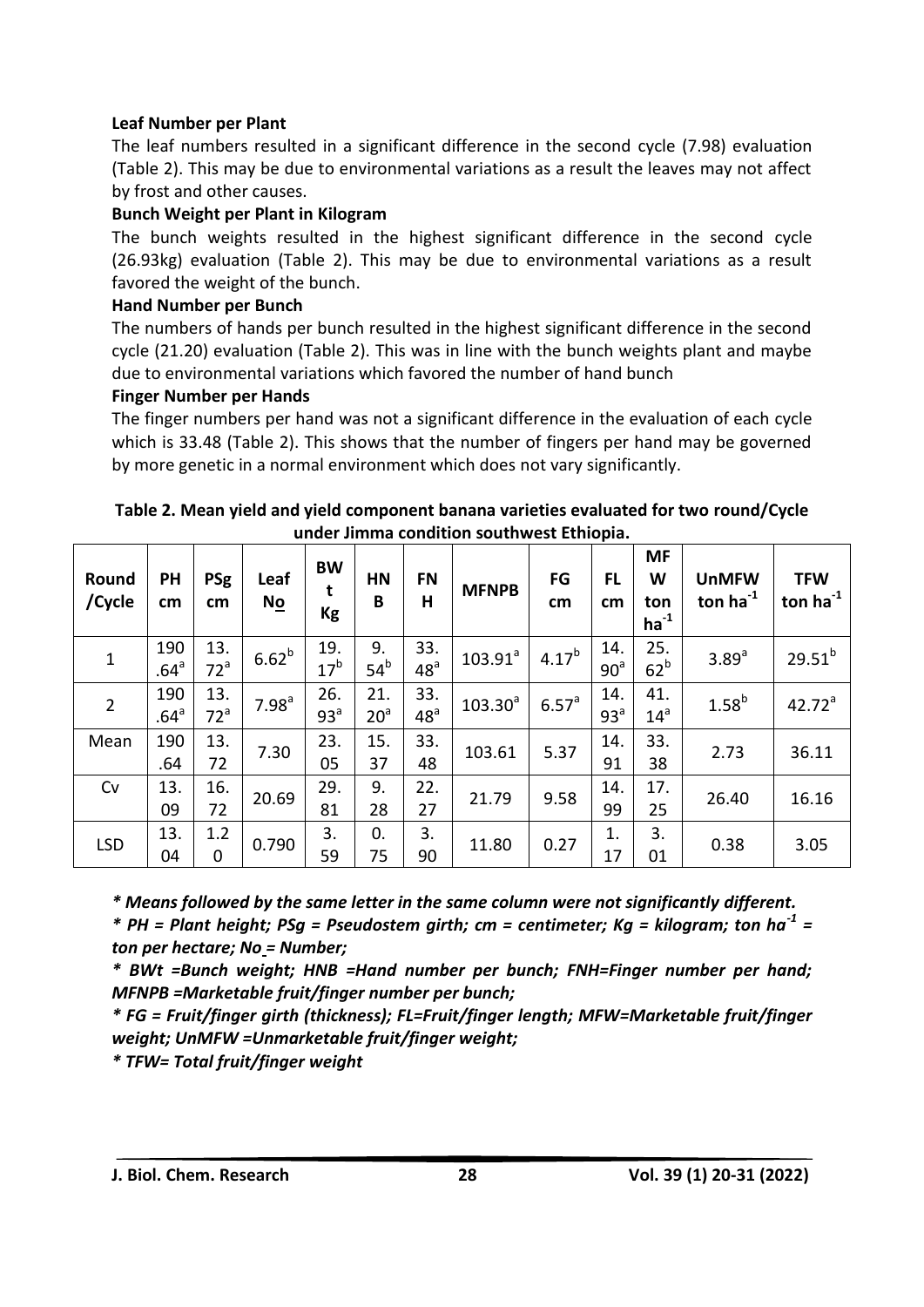### **Leaf Number per Plant**

The leaf numbers resulted in a significant difference in the second cycle (7.98) evaluation (Table 2). This may be due to environmental variations as a result the leaves may not affect by frost and other causes.

### **Bunch Weight per Plant in Kilogram**

The bunch weights resulted in the highest significant difference in the second cycle (26.93kg) evaluation (Table 2). This may be due to environmental variations as a result favored the weight of the bunch.

### **Hand Number per Bunch**

The numbers of hands per bunch resulted in the highest significant difference in the second cycle (21.20) evaluation (Table 2). This was in line with the bunch weights plant and maybe due to environmental variations which favored the number of hand bunch

### **Finger Number per Hands**

The finger numbers per hand was not a significant difference in the evaluation of each cycle which is 33.48 (Table 2). This shows that the number of fingers per hand may be governed by more genetic in a normal environment which does not vary significantly.

| Round<br>/Cycle | PH<br>cm                | <b>PSg</b><br>cm       | Leaf<br>No        | <b>BW</b><br>t<br>Kg   | <b>HN</b><br>B         | <b>FN</b><br>Н         | <b>MFNPB</b> | FG<br>cm          | <b>FL</b><br>cm        | <b>MF</b><br>W<br>ton<br>$ha^{-1}$ | <b>UnMFW</b><br>ton ha $^{-1}$ | <b>TFW</b><br>ton $ha^{-1}$ |
|-----------------|-------------------------|------------------------|-------------------|------------------------|------------------------|------------------------|--------------|-------------------|------------------------|------------------------------------|--------------------------------|-----------------------------|
| $\mathbf{1}$    | 190<br>.64 <sup>a</sup> | 13.<br>72 <sup>a</sup> | 6.62 <sup>b</sup> | 19.<br>17 <sup>b</sup> | 9.<br>54 <sup>b</sup>  | 33.<br>48 <sup>a</sup> | $103.91^a$   | 4.17 <sup>b</sup> | 14.<br>90 <sup>a</sup> | 25.<br>62 <sup>b</sup>             | 3.89 <sup>a</sup>              | $29.51^{b}$                 |
| $\overline{2}$  | 190<br>.64 <sup>a</sup> | 13.<br>72 <sup>a</sup> | 7.98 <sup>a</sup> | 26.<br>93 <sup>a</sup> | 21.<br>20 <sup>a</sup> | 33.<br>48 <sup>a</sup> | $103.30^a$   | $6.57^{\circ}$    | 14.<br>93 <sup>a</sup> | 41.<br>14 <sup>a</sup>             | 1.58 <sup>b</sup>              | 42.72 <sup>a</sup>          |
| Mean            | 190<br>.64              | 13.<br>72              | 7.30              | 23.<br>05              | 15.<br>37              | 33.<br>48              | 103.61       | 5.37              | 14.<br>91              | 33.<br>38                          | 2.73                           | 36.11                       |
| Cv              | 13.<br>09               | 16.<br>72              | 20.69             | 29.<br>81              | 9.<br>28               | 22.<br>27              | 21.79        | 9.58              | 14.<br>99              | 17.<br>25                          | 26.40                          | 16.16                       |
| <b>LSD</b>      | 13.<br>04               | 1.2<br>0               | 0.790             | 3.<br>59               | $\mathbf{0}$<br>75     | 3.<br>90               | 11.80        | 0.27              | 1.<br>17               | 3.<br>01                           | 0.38                           | 3.05                        |

| Table 2. Mean yield and yield component banana varieties evaluated for two round/Cycle |
|----------------------------------------------------------------------------------------|
| under Jimma condition southwest Ethiopia.                                              |

*\* Means followed by the same letter in the same column were not significantly different.*

*\* PH = Plant height; PSg = Pseudostem girth; cm = centimeter; Kg = kilogram; ton ha-1 = ton per hectare; No = Number;* 

*\* BWt =Bunch weight; HNB =Hand number per bunch; FNH=Finger number per hand; MFNPB =Marketable fruit/finger number per bunch;*

*\* FG = Fruit/finger girth (thickness); FL=Fruit/finger length; MFW=Marketable fruit/finger weight; UnMFW =Unmarketable fruit/finger weight;*

*\* TFW= Total fruit/finger weight*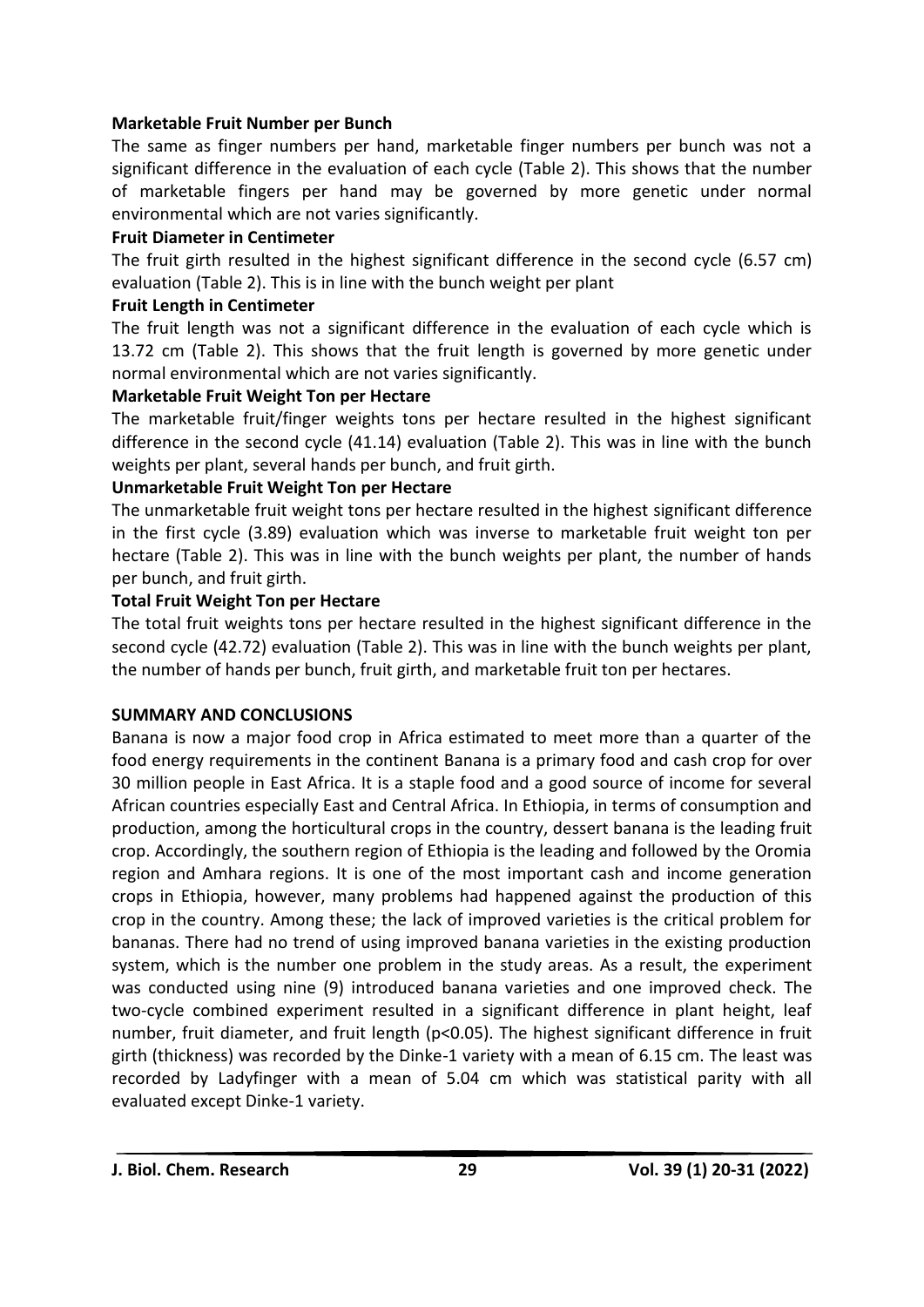### **Marketable Fruit Number per Bunch**

The same as finger numbers per hand, marketable finger numbers per bunch was not a significant difference in the evaluation of each cycle (Table 2). This shows that the number of marketable fingers per hand may be governed by more genetic under normal environmental which are not varies significantly.

### **Fruit Diameter in Centimeter**

The fruit girth resulted in the highest significant difference in the second cycle (6.57 cm) evaluation (Table 2). This is in line with the bunch weight per plant

### **Fruit Length in Centimeter**

The fruit length was not a significant difference in the evaluation of each cycle which is 13.72 cm (Table 2). This shows that the fruit length is governed by more genetic under normal environmental which are not varies significantly.

### **Marketable Fruit Weight Ton per Hectare**

The marketable fruit/finger weights tons per hectare resulted in the highest significant difference in the second cycle (41.14) evaluation (Table 2). This was in line with the bunch weights per plant, several hands per bunch, and fruit girth.

### **Unmarketable Fruit Weight Ton per Hectare**

The unmarketable fruit weight tons per hectare resulted in the highest significant difference in the first cycle (3.89) evaluation which was inverse to marketable fruit weight ton per hectare (Table 2). This was in line with the bunch weights per plant, the number of hands per bunch, and fruit girth.

### **Total Fruit Weight Ton per Hectare**

The total fruit weights tons per hectare resulted in the highest significant difference in the second cycle (42.72) evaluation (Table 2). This was in line with the bunch weights per plant, the number of hands per bunch, fruit girth, and marketable fruit ton per hectares.

# **SUMMARY AND CONCLUSIONS**

Banana is now a major food crop in Africa estimated to meet more than a quarter of the food energy requirements in the continent Banana is a primary food and cash crop for over 30 million people in East Africa. It is a staple food and a good source of income for several African countries especially East and Central Africa. In Ethiopia, in terms of consumption and production, among the horticultural crops in the country, dessert banana is the leading fruit crop. Accordingly, the southern region of Ethiopia is the leading and followed by the Oromia region and Amhara regions. It is one of the most important cash and income generation crops in Ethiopia, however, many problems had happened against the production of this crop in the country. Among these; the lack of improved varieties is the critical problem for bananas. There had no trend of using improved banana varieties in the existing production system, which is the number one problem in the study areas. As a result, the experiment was conducted using nine (9) introduced banana varieties and one improved check. The two-cycle combined experiment resulted in a significant difference in plant height, leaf number, fruit diameter, and fruit length (p<0.05). The highest significant difference in fruit girth (thickness) was recorded by the Dinke-1 variety with a mean of 6.15 cm. The least was recorded by Ladyfinger with a mean of 5.04 cm which was statistical parity with all evaluated except Dinke-1 variety.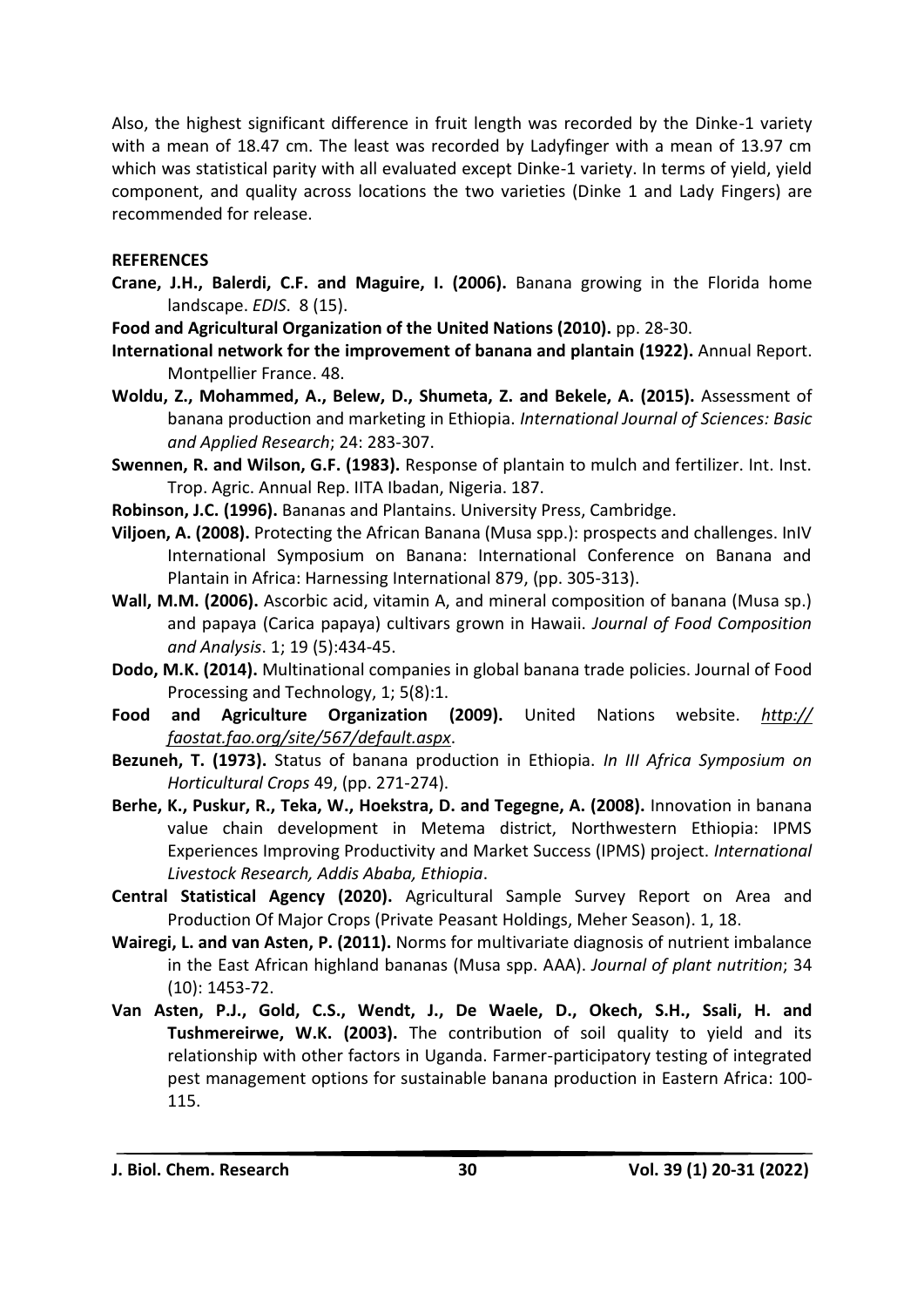Also, the highest significant difference in fruit length was recorded by the Dinke-1 variety with a mean of 18.47 cm. The least was recorded by Ladyfinger with a mean of 13.97 cm which was statistical parity with all evaluated except Dinke-1 variety. In terms of yield, yield component, and quality across locations the two varieties (Dinke 1 and Lady Fingers) are recommended for release.

#### **REFERENCES**

- **Crane, J.H., Balerdi, C.F. and Maguire, I. (2006).** Banana growing in the Florida home landscape. *EDIS*. 8 (15).
- **Food and Agricultural Organization of the United Nations (2010).** pp. 28-30.
- **International network for the improvement of banana and plantain (1922).** Annual Report. Montpellier France. 48.
- **Woldu, Z., Mohammed, A., Belew, D., Shumeta, Z. and Bekele, A. (2015).** Assessment of banana production and marketing in Ethiopia. *International Journal of Sciences: Basic and Applied Research*; 24: 283-307.
- **Swennen, R. and Wilson, G.F. (1983).** Response of plantain to mulch and fertilizer. Int. Inst. Trop. Agric. Annual Rep. IITA Ibadan, Nigeria. 187.
- **Robinson, J.C. (1996).** Bananas and Plantains. University Press, Cambridge.
- **Viljoen, A. (2008).** Protecting the African Banana (Musa spp.): prospects and challenges. InIV International Symposium on Banana: International Conference on Banana and Plantain in Africa: Harnessing International 879, (pp. 305-313).
- **Wall, M.M. (2006).** Ascorbic acid, vitamin A, and mineral composition of banana (Musa sp.) and papaya (Carica papaya) cultivars grown in Hawaii. *Journal of Food Composition and Analysis*. 1; 19 (5):434-45.
- **Dodo, M.K. (2014).** Multinational companies in global banana trade policies. Journal of Food Processing and Technology, 1; 5(8):1.
- **Food and Agriculture Organization (2009).** United Nations website. *http:// faostat.fao.org/site/567/default.aspx*.
- **Bezuneh, T. (1973).** Status of banana production in Ethiopia. *In III Africa Symposium on Horticultural Crops* 49, (pp. 271-274).
- **Berhe, K., Puskur, R., Teka, W., Hoekstra, D. and Tegegne, A. (2008).** Innovation in banana value chain development in Metema district, Northwestern Ethiopia: IPMS Experiences Improving Productivity and Market Success (IPMS) project. *International Livestock Research, Addis Ababa, Ethiopia*.
- **Central Statistical Agency (2020).** Agricultural Sample Survey Report on Area and Production Of Major Crops (Private Peasant Holdings, Meher Season). 1, 18.
- **Wairegi, L. and van Asten, P. (2011).** Norms for multivariate diagnosis of nutrient imbalance in the East African highland bananas (Musa spp. AAA). *Journal of plant nutrition*; 34 (10): 1453-72.
- **Van Asten, P.J., Gold, C.S., Wendt, J., De Waele, D., Okech, S.H., Ssali, H. and Tushmereirwe, W.K. (2003).** The contribution of soil quality to yield and its relationship with other factors in Uganda. Farmer-participatory testing of integrated pest management options for sustainable banana production in Eastern Africa: 100- 115.